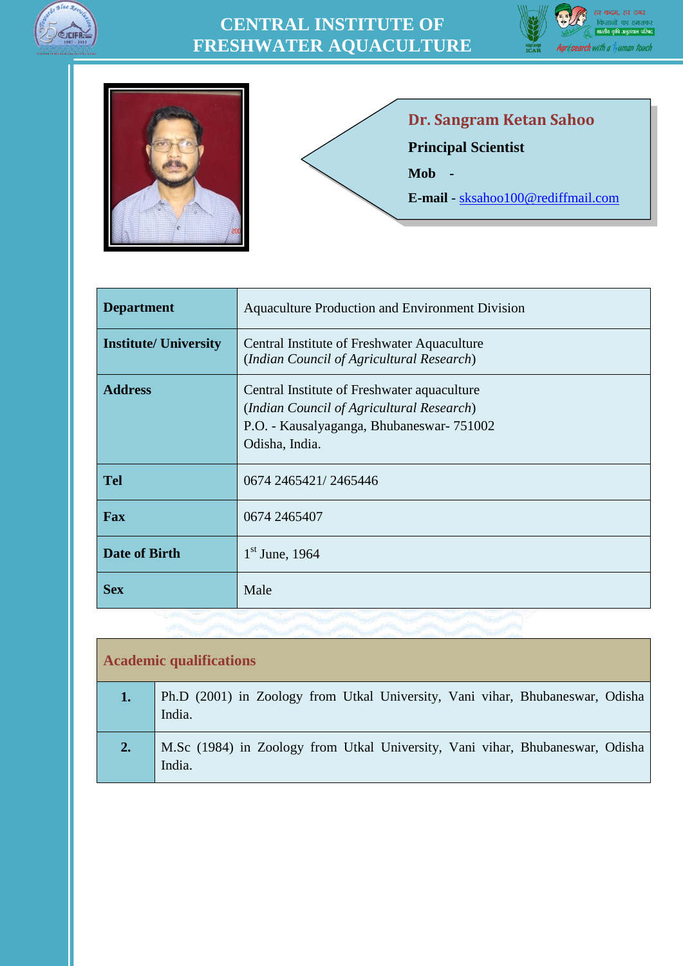







#### **Dr. Sangram Ketan Sahoo**

**Principal Scientist**

**Mob -**

**E-mail** - [sksahoo100@rediffmail.com](mailto:sksahoo100@rediffmail.com)

| <b>Department</b>            | Aquaculture Production and Environment Division                                                                                                        |
|------------------------------|--------------------------------------------------------------------------------------------------------------------------------------------------------|
| <b>Institute/ University</b> | Central Institute of Freshwater Aquaculture<br>(Indian Council of Agricultural Research)                                                               |
| <b>Address</b>               | Central Institute of Freshwater aquaculture<br>(Indian Council of Agricultural Research)<br>P.O. - Kausalyaganga, Bhubaneswar-751002<br>Odisha, India. |
| <b>Tel</b>                   | 0674 2465421/2465446                                                                                                                                   |
| <b>Fax</b>                   | 0674 2465407                                                                                                                                           |
| <b>Date of Birth</b>         | $1st$ June, 1964                                                                                                                                       |
| <b>Sex</b>                   | Male                                                                                                                                                   |

| <b>Academic qualifications</b> |                                                                                         |  |  |  |
|--------------------------------|-----------------------------------------------------------------------------------------|--|--|--|
| 1.                             | Ph.D (2001) in Zoology from Utkal University, Vani vihar, Bhubaneswar, Odisha<br>India. |  |  |  |
| 2.                             | M.Sc (1984) in Zoology from Utkal University, Vani vihar, Bhubaneswar, Odisha<br>India. |  |  |  |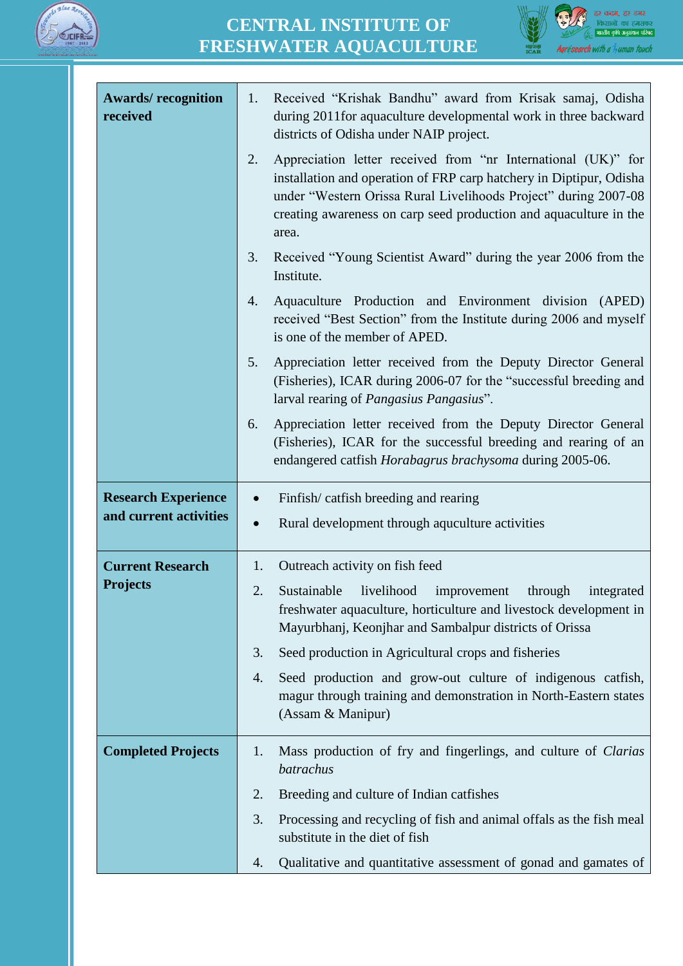



| <b>Awards/recognition</b><br>received | Received "Krishak Bandhu" award from Krisak samaj, Odisha<br>1.<br>during 2011for aquaculture developmental work in three backward<br>districts of Odisha under NAIP project.                                                                                                               |
|---------------------------------------|---------------------------------------------------------------------------------------------------------------------------------------------------------------------------------------------------------------------------------------------------------------------------------------------|
|                                       | Appreciation letter received from "nr International (UK)" for<br>2.<br>installation and operation of FRP carp hatchery in Diptipur, Odisha<br>under "Western Orissa Rural Livelihoods Project" during 2007-08<br>creating awareness on carp seed production and aquaculture in the<br>area. |
|                                       | Received "Young Scientist Award" during the year 2006 from the<br>3.<br>Institute.                                                                                                                                                                                                          |
|                                       | Aquaculture Production and Environment division (APED)<br>4.<br>received "Best Section" from the Institute during 2006 and myself<br>is one of the member of APED.                                                                                                                          |
|                                       | 5.<br>Appreciation letter received from the Deputy Director General<br>(Fisheries), ICAR during 2006-07 for the "successful breeding and<br>larval rearing of <i>Pangasius Pangasius</i> ".                                                                                                 |
|                                       | Appreciation letter received from the Deputy Director General<br>6.<br>(Fisheries), ICAR for the successful breeding and rearing of an<br>endangered catfish Horabagrus brachysoma during 2005-06.                                                                                          |
| <b>Research Experience</b>            | Finfish/catfish breeding and rearing<br>$\bullet$                                                                                                                                                                                                                                           |
| and current activities                | Rural development through aquculture activities<br>$\bullet$                                                                                                                                                                                                                                |
|                                       |                                                                                                                                                                                                                                                                                             |
| <b>Current Research</b>               | 1.<br>Outreach activity on fish feed                                                                                                                                                                                                                                                        |
| <b>Projects</b>                       | 2.<br>Sustainable<br>livelihood<br>through<br>integrated<br>improvement<br>freshwater aquaculture, horticulture and livestock development in<br>Mayurbhanj, Keonjhar and Sambalpur districts of Orissa                                                                                      |
|                                       | 3.<br>Seed production in Agricultural crops and fisheries                                                                                                                                                                                                                                   |
|                                       | Seed production and grow-out culture of indigenous catfish,<br>4.<br>magur through training and demonstration in North-Eastern states<br>(Assam & Manipur)                                                                                                                                  |
| <b>Completed Projects</b>             | Mass production of fry and fingerlings, and culture of Clarias<br>1.<br>batrachus                                                                                                                                                                                                           |
|                                       | 2.<br>Breeding and culture of Indian catfishes                                                                                                                                                                                                                                              |
|                                       | 3.<br>Processing and recycling of fish and animal offals as the fish meal<br>substitute in the diet of fish                                                                                                                                                                                 |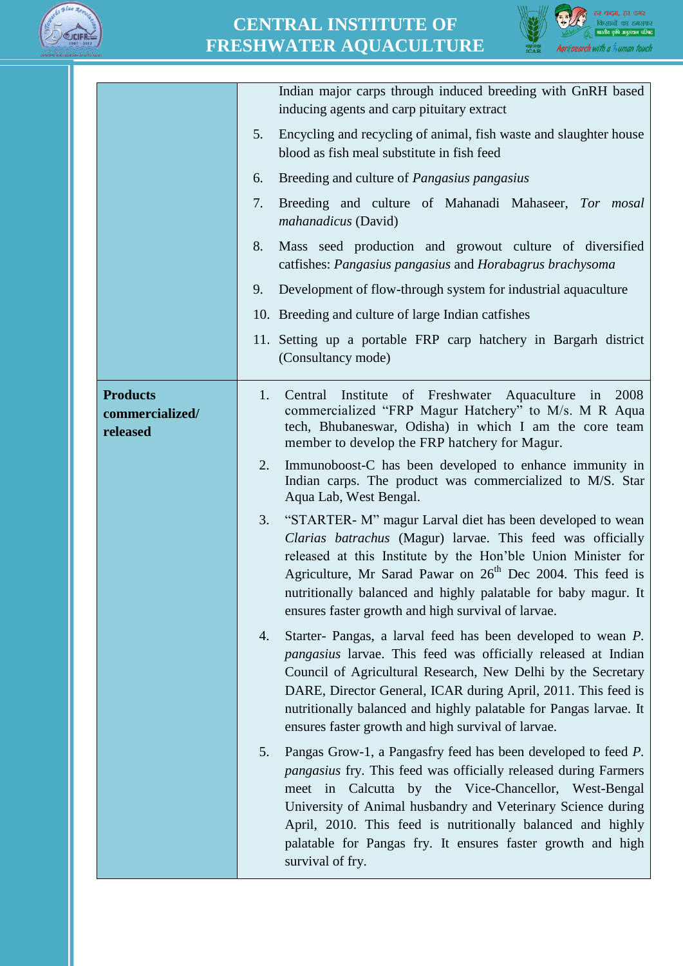



|                                                | Indian major carps through induced breeding with GnRH based<br>inducing agents and carp pituitary extract                                                                                                                                                                                                                                                                                                               |
|------------------------------------------------|-------------------------------------------------------------------------------------------------------------------------------------------------------------------------------------------------------------------------------------------------------------------------------------------------------------------------------------------------------------------------------------------------------------------------|
|                                                | Encycling and recycling of animal, fish waste and slaughter house<br>5.<br>blood as fish meal substitute in fish feed                                                                                                                                                                                                                                                                                                   |
|                                                | Breeding and culture of Pangasius pangasius<br>6.                                                                                                                                                                                                                                                                                                                                                                       |
|                                                | Breeding and culture of Mahanadi Mahaseer, Tor mosal<br>7.<br>mahanadicus (David)                                                                                                                                                                                                                                                                                                                                       |
|                                                | 8.<br>Mass seed production and growout culture of diversified<br>catfishes: Pangasius pangasius and Horabagrus brachysoma                                                                                                                                                                                                                                                                                               |
|                                                | Development of flow-through system for industrial aquaculture<br>9.                                                                                                                                                                                                                                                                                                                                                     |
|                                                | 10. Breeding and culture of large Indian catfishes                                                                                                                                                                                                                                                                                                                                                                      |
|                                                | 11. Setting up a portable FRP carp hatchery in Bargarh district<br>(Consultancy mode)                                                                                                                                                                                                                                                                                                                                   |
| <b>Products</b><br>commercialized/<br>released | Institute of Freshwater Aquaculture in<br>2008<br>1.<br>Central<br>commercialized "FRP Magur Hatchery" to M/s. M R Aqua<br>tech, Bhubaneswar, Odisha) in which I am the core team<br>member to develop the FRP hatchery for Magur.                                                                                                                                                                                      |
|                                                | 2.<br>Immunoboost-C has been developed to enhance immunity in<br>Indian carps. The product was commercialized to M/S. Star<br>Aqua Lab, West Bengal.                                                                                                                                                                                                                                                                    |
|                                                | 3.<br>"STARTER- M" magur Larval diet has been developed to wean<br>Clarias batrachus (Magur) larvae. This feed was officially<br>released at this Institute by the Hon'ble Union Minister for<br>Agriculture, Mr Sarad Pawar on 26 <sup>th</sup> Dec 2004. This feed is<br>nutritionally balanced and highly palatable for baby magur. It<br>ensures faster growth and high survival of larvae.                         |
|                                                | Starter- Pangas, a larval feed has been developed to wean P.<br>4.<br><i>pangasius</i> larvae. This feed was officially released at Indian<br>Council of Agricultural Research, New Delhi by the Secretary<br>DARE, Director General, ICAR during April, 2011. This feed is<br>nutritionally balanced and highly palatable for Pangas larvae. It<br>ensures faster growth and high survival of larvae.                  |
|                                                | Pangas Grow-1, a Pangasfry feed has been developed to feed P.<br>5.<br><i>pangasius</i> fry. This feed was officially released during Farmers<br>meet in Calcutta by the Vice-Chancellor, West-Bengal<br>University of Animal husbandry and Veterinary Science during<br>April, 2010. This feed is nutritionally balanced and highly<br>palatable for Pangas fry. It ensures faster growth and high<br>survival of fry. |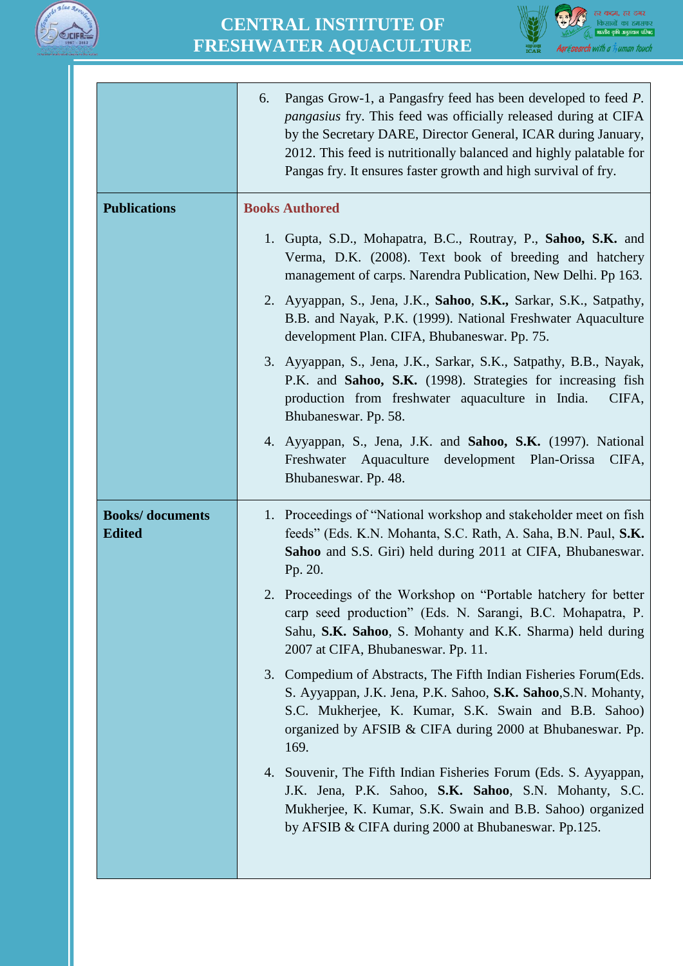



|                                          | Pangas Grow-1, a Pangasfry feed has been developed to feed P.<br>6.<br><i>pangasius</i> fry. This feed was officially released during at CIFA<br>by the Secretary DARE, Director General, ICAR during January,<br>2012. This feed is nutritionally balanced and highly palatable for<br>Pangas fry. It ensures faster growth and high survival of fry. |
|------------------------------------------|--------------------------------------------------------------------------------------------------------------------------------------------------------------------------------------------------------------------------------------------------------------------------------------------------------------------------------------------------------|
| <b>Publications</b>                      | <b>Books Authored</b>                                                                                                                                                                                                                                                                                                                                  |
|                                          | 1. Gupta, S.D., Mohapatra, B.C., Routray, P., Sahoo, S.K. and<br>Verma, D.K. (2008). Text book of breeding and hatchery<br>management of carps. Narendra Publication, New Delhi. Pp 163.                                                                                                                                                               |
|                                          | 2. Ayyappan, S., Jena, J.K., Sahoo, S.K., Sarkar, S.K., Satpathy,<br>B.B. and Nayak, P.K. (1999). National Freshwater Aquaculture<br>development Plan. CIFA, Bhubaneswar. Pp. 75.                                                                                                                                                                      |
|                                          | 3. Ayyappan, S., Jena, J.K., Sarkar, S.K., Satpathy, B.B., Nayak,<br>P.K. and Sahoo, S.K. (1998). Strategies for increasing fish<br>production from freshwater aquaculture in India.<br>CIFA,<br>Bhubaneswar. Pp. 58.                                                                                                                                  |
|                                          | 4. Ayyappan, S., Jena, J.K. and Sahoo, S.K. (1997). National<br>Freshwater Aquaculture development Plan-Orissa<br>CIFA,<br>Bhubaneswar. Pp. 48.                                                                                                                                                                                                        |
| <b>Books/</b> documents<br><b>Edited</b> | 1. Proceedings of "National workshop and stakeholder meet on fish<br>feeds" (Eds. K.N. Mohanta, S.C. Rath, A. Saha, B.N. Paul, S.K.<br>Sahoo and S.S. Giri) held during 2011 at CIFA, Bhubaneswar.<br>Pp. 20.                                                                                                                                          |
|                                          | Proceedings of the Workshop on "Portable hatchery for better<br>carp seed production" (Eds. N. Sarangi, B.C. Mohapatra, P.<br>Sahu, S.K. Sahoo, S. Mohanty and K.K. Sharma) held during<br>2007 at CIFA, Bhubaneswar. Pp. 11.                                                                                                                          |
|                                          | 3. Compedium of Abstracts, The Fifth Indian Fisheries Forum (Eds.<br>S. Ayyappan, J.K. Jena, P.K. Sahoo, S.K. Sahoo, S.N. Mohanty,<br>S.C. Mukherjee, K. Kumar, S.K. Swain and B.B. Sahoo)<br>organized by AFSIB & CIFA during 2000 at Bhubaneswar. Pp.<br>169.                                                                                        |
|                                          | 4. Souvenir, The Fifth Indian Fisheries Forum (Eds. S. Ayyappan,<br>J.K. Jena, P.K. Sahoo, S.K. Sahoo, S.N. Mohanty, S.C.<br>Mukherjee, K. Kumar, S.K. Swain and B.B. Sahoo) organized<br>by AFSIB & CIFA during 2000 at Bhubaneswar. Pp.125.                                                                                                          |
|                                          |                                                                                                                                                                                                                                                                                                                                                        |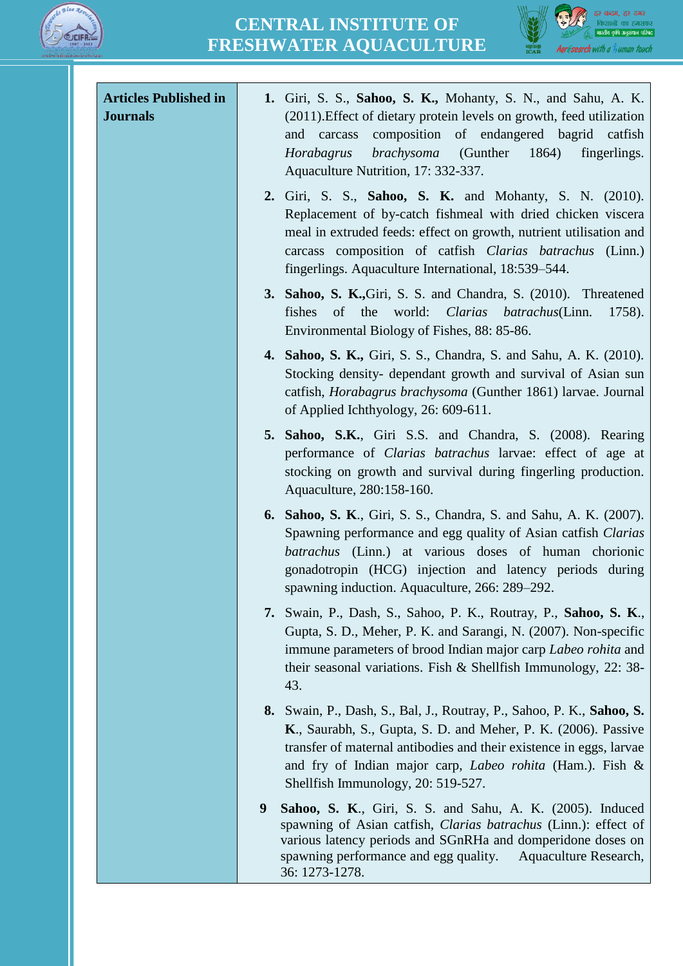



| <b>Articles Published in</b><br><b>Journals</b> | 1. Giri, S. S., Sahoo, S. K., Mohanty, S. N., and Sahu, A. K.<br>(2011). Effect of dietary protein levels on growth, feed utilization<br>composition of endangered bagrid catfish<br>and<br>carcass<br>brachysoma<br>(Gunther<br>1864)<br>Horabagrus<br>fingerlings.<br>Aquaculture Nutrition, 17: 332-337.                      |
|-------------------------------------------------|----------------------------------------------------------------------------------------------------------------------------------------------------------------------------------------------------------------------------------------------------------------------------------------------------------------------------------|
|                                                 | <b>2.</b> Giri, S. S., <b>Sahoo, S. K.</b> and Mohanty, S. N. (2010).<br>Replacement of by-catch fishmeal with dried chicken viscera<br>meal in extruded feeds: effect on growth, nutrient utilisation and<br>carcass composition of catfish Clarias batrachus<br>(Linn.)<br>fingerlings. Aquaculture International, 18:539–544. |
|                                                 | 3. Sahoo, S. K., Giri, S. S. and Chandra, S. (2010). Threatened<br>of the<br>world: <i>Clarias batrachus</i> (Linn.<br>fishes<br>1758).<br>Environmental Biology of Fishes, 88: 85-86.                                                                                                                                           |
|                                                 | <b>4. Sahoo, S. K., Giri, S. S., Chandra, S. and Sahu, A. K. (2010).</b><br>Stocking density- dependant growth and survival of Asian sun<br>catfish, <i>Horabagrus brachysoma</i> (Gunther 1861) larvae. Journal<br>of Applied Ichthyology, 26: 609-611.                                                                         |
|                                                 | 5. Sahoo, S.K., Giri S.S. and Chandra, S. (2008). Rearing<br>performance of <i>Clarias batrachus</i> larvae: effect of age at<br>stocking on growth and survival during fingerling production.<br>Aquaculture, 280:158-160.                                                                                                      |
|                                                 | <b>6. Sahoo, S. K., Giri, S. S., Chandra, S. and Sahu, A. K. (2007).</b><br>Spawning performance and egg quality of Asian catfish Clarias<br>batrachus (Linn.) at various doses of human chorionic<br>gonadotropin (HCG) injection and latency periods during<br>spawning induction. Aquaculture, 266: 289–292.                  |
|                                                 | 7. Swain, P., Dash, S., Sahoo, P. K., Routray, P., Sahoo, S. K.,<br>Gupta, S. D., Meher, P. K. and Sarangi, N. (2007). Non-specific<br>immune parameters of brood Indian major carp Labeo rohita and<br>their seasonal variations. Fish & Shellfish Immunology, 22: 38-<br>43.                                                   |
|                                                 | 8. Swain, P., Dash, S., Bal, J., Routray, P., Sahoo, P. K., Sahoo, S.<br>K., Saurabh, S., Gupta, S. D. and Meher, P. K. (2006). Passive<br>transfer of maternal antibodies and their existence in eggs, larvae<br>and fry of Indian major carp, <i>Labeo rohita</i> (Ham.). Fish &<br>Shellfish Immunology, 20: 519-527.         |
|                                                 | 9<br>Sahoo, S. K., Giri, S. S. and Sahu, A. K. (2005). Induced<br>spawning of Asian catfish, Clarias batrachus (Linn.): effect of<br>various latency periods and SGnRHa and domperidone doses on<br>spawning performance and egg quality.<br>Aquaculture Research,<br>36: 1273-1278.                                             |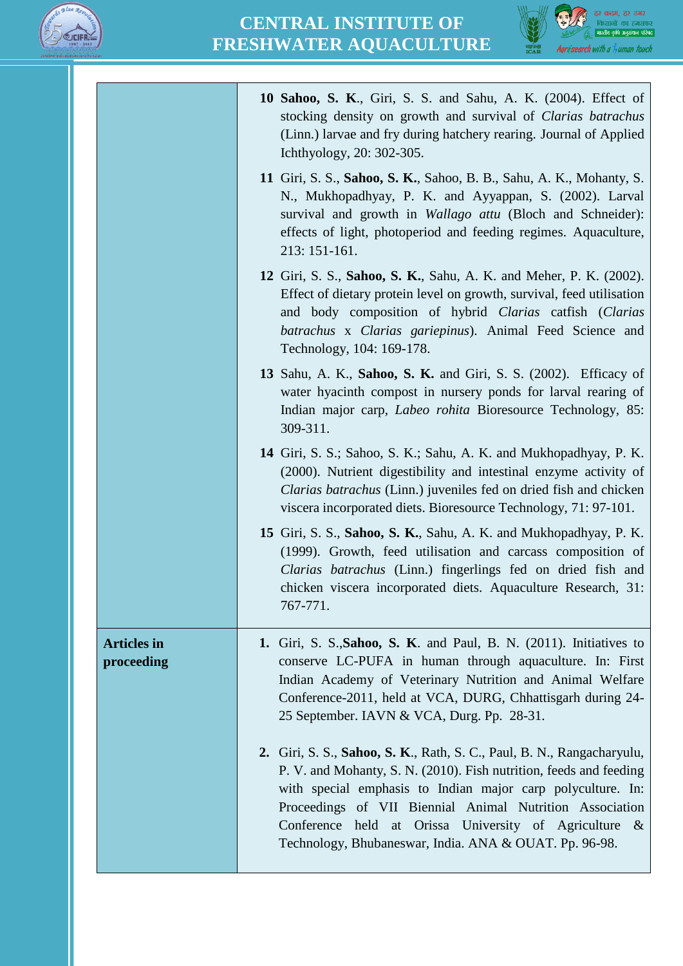



|                                  | 10 Sahoo, S. K., Giri, S. S. and Sahu, A. K. (2004). Effect of<br>stocking density on growth and survival of Clarias batrachus<br>(Linn.) larvae and fry during hatchery rearing. Journal of Applied<br>Ichthyology, 20: 302-305.                                                                                                                                                                 |
|----------------------------------|---------------------------------------------------------------------------------------------------------------------------------------------------------------------------------------------------------------------------------------------------------------------------------------------------------------------------------------------------------------------------------------------------|
|                                  | 11 Giri, S. S., Sahoo, S. K., Sahoo, B. B., Sahu, A. K., Mohanty, S.<br>N., Mukhopadhyay, P. K. and Ayyappan, S. (2002). Larval<br>survival and growth in <i>Wallago attu</i> (Bloch and Schneider):<br>effects of light, photoperiod and feeding regimes. Aquaculture,<br>213: 151-161.                                                                                                          |
|                                  | 12 Giri, S. S., Sahoo, S. K., Sahu, A. K. and Meher, P. K. (2002).<br>Effect of dietary protein level on growth, survival, feed utilisation<br>and body composition of hybrid Clarias catfish (Clarias<br>batrachus x Clarias gariepinus). Animal Feed Science and<br>Technology, 104: 169-178.                                                                                                   |
|                                  | 13 Sahu, A. K., Sahoo, S. K. and Giri, S. S. (2002). Efficacy of<br>water hyacinth compost in nursery ponds for larval rearing of<br>Indian major carp, <i>Labeo rohita</i> Bioresource Technology, 85:<br>309-311.                                                                                                                                                                               |
|                                  | 14 Giri, S. S.; Sahoo, S. K.; Sahu, A. K. and Mukhopadhyay, P. K.<br>(2000). Nutrient digestibility and intestinal enzyme activity of<br><i>Clarias batrachus</i> (Linn.) juveniles fed on dried fish and chicken<br>viscera incorporated diets. Bioresource Technology, 71: 97-101.                                                                                                              |
|                                  | 15 Giri, S. S., Sahoo, S. K., Sahu, A. K. and Mukhopadhyay, P. K.<br>(1999). Growth, feed utilisation and carcass composition of<br>Clarias batrachus (Linn.) fingerlings fed on dried fish and<br>chicken viscera incorporated diets. Aquaculture Research, 31:<br>767-771.                                                                                                                      |
| <b>Articles</b> in<br>proceeding | 1. Giri, S. S., Sahoo, S. K. and Paul, B. N. (2011). Initiatives to<br>conserve LC-PUFA in human through aquaculture. In: First<br>Indian Academy of Veterinary Nutrition and Animal Welfare<br>Conference-2011, held at VCA, DURG, Chhattisgarh during 24-<br>25 September. IAVN & VCA, Durg. Pp. 28-31.                                                                                         |
|                                  | 2. Giri, S. S., Sahoo, S. K., Rath, S. C., Paul, B. N., Rangacharyulu,<br>P. V. and Mohanty, S. N. (2010). Fish nutrition, feeds and feeding<br>with special emphasis to Indian major carp polyculture. In:<br>Proceedings of VII Biennial Animal Nutrition Association<br>Conference held at Orissa University of Agriculture<br>$-\&$<br>Technology, Bhubaneswar, India. ANA & OUAT. Pp. 96-98. |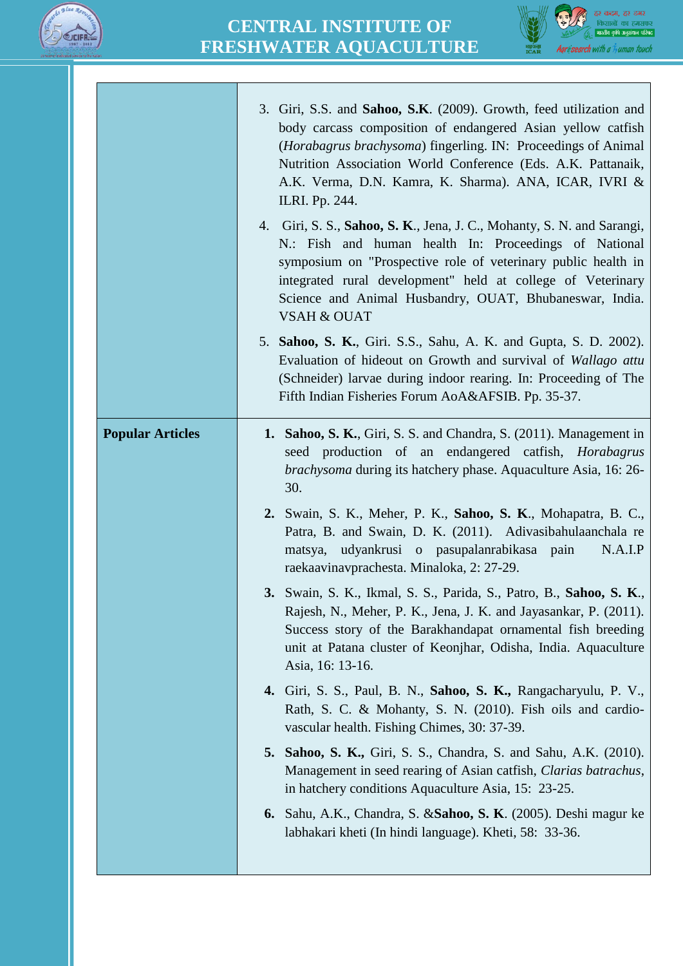



|                         | 3. Giri, S.S. and Sahoo, S.K. (2009). Growth, feed utilization and<br>body carcass composition of endangered Asian yellow catfish<br>( <i>Horabagrus brachysoma</i> ) fingerling. IN: Proceedings of Animal<br>Nutrition Association World Conference (Eds. A.K. Pattanaik,<br>A.K. Verma, D.N. Kamra, K. Sharma). ANA, ICAR, IVRI &<br>ILRI. Pp. 244. |
|-------------------------|--------------------------------------------------------------------------------------------------------------------------------------------------------------------------------------------------------------------------------------------------------------------------------------------------------------------------------------------------------|
|                         | 4. Giri, S. S., Sahoo, S. K., Jena, J. C., Mohanty, S. N. and Sarangi,<br>N.: Fish and human health In: Proceedings of National<br>symposium on "Prospective role of veterinary public health in<br>integrated rural development" held at college of Veterinary<br>Science and Animal Husbandry, OUAT, Bhubaneswar, India.<br><b>VSAH &amp; OUAT</b>   |
|                         | 5. Sahoo, S. K., Giri. S.S., Sahu, A. K. and Gupta, S. D. 2002).<br>Evaluation of hideout on Growth and survival of Wallago attu<br>(Schneider) larvae during indoor rearing. In: Proceeding of The<br>Fifth Indian Fisheries Forum AoA&AFSIB. Pp. 35-37.                                                                                              |
| <b>Popular Articles</b> | <b>1. Sahoo, S. K., Giri, S. S. and Chandra, S. (2011). Management in</b><br>seed production of an endangered catfish, <i>Horabagrus</i><br><i>brachysoma</i> during its hatchery phase. Aquaculture Asia, 16: 26-<br>30.                                                                                                                              |
|                         | 2. Swain, S. K., Meher, P. K., Sahoo, S. K., Mohapatra, B. C.,<br>Patra, B. and Swain, D. K. (2011). Adivasibahulaanchala re<br>matsya, udyankrusi o pasupalanrabikasa pain<br>N.A.I.P<br>raekaavinavprachesta. Minaloka, 2: 27-29.                                                                                                                    |
|                         | 3. Swain, S. K., Ikmal, S. S., Parida, S., Patro, B., Sahoo, S. K.,<br>Rajesh, N., Meher, P. K., Jena, J. K. and Jayasankar, P. (2011).<br>Success story of the Barakhandapat ornamental fish breeding<br>unit at Patana cluster of Keonjhar, Odisha, India. Aquaculture<br>Asia, 16: 13-16.                                                           |
|                         | 4. Giri, S. S., Paul, B. N., Sahoo, S. K., Rangacharyulu, P. V.,<br>Rath, S. C. & Mohanty, S. N. (2010). Fish oils and cardio-<br>vascular health. Fishing Chimes, 30: 37-39.                                                                                                                                                                          |
|                         | <b>5. Sahoo, S. K., Giri, S. S., Chandra, S. and Sahu, A.K. (2010).</b><br>Management in seed rearing of Asian catfish, Clarias batrachus,<br>in hatchery conditions Aquaculture Asia, 15: 23-25.                                                                                                                                                      |
|                         | 6. Sahu, A.K., Chandra, S. & Sahoo, S. K. (2005). Deshi magur ke<br>labhakari kheti (In hindi language). Kheti, 58: 33-36.                                                                                                                                                                                                                             |